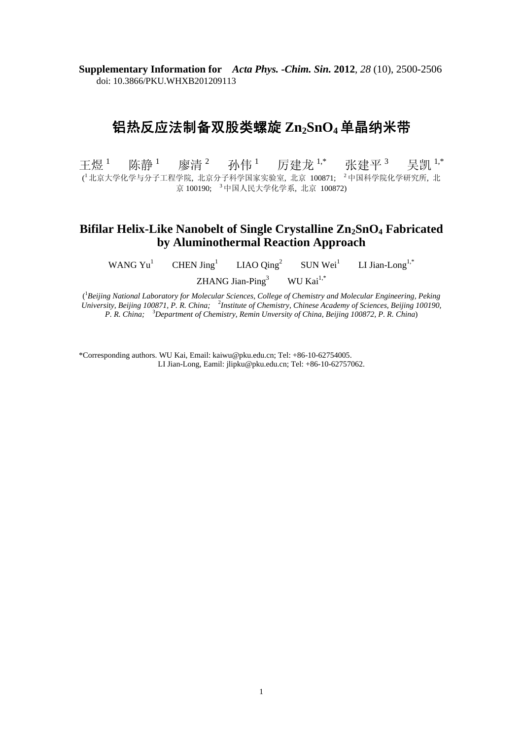**Supplementary Information for** *Acta Phys. -Chim. Sin.* **2012**, *28* (10), 2500-2506 doi: 10.3866/PKU.WHXB201209113

# 铝热反应法制备双股类螺旋 Zn<sub>2</sub>SnO<sub>4</sub> 单晶纳米带

干煜 $1$ 陈静<sup>1</sup> 廖清 <sup>2</sup> 孙伟 $1$ 厉建龙<sup>1,\*</sup> 张建平<sup>3</sup> 吴凯 1,\* (<sup>1</sup>北京大学化学与分子工程学院, 北京分子科学国家实验室, 北京 100871; <sup>2</sup>中国科学院化学研究所, 北 京 100190; <sup>3</sup> 中国人民大学化学系, 北京 100872)

# **Bifilar Helix-Like Nanobelt of Single Crystalline Zn<sub>2</sub>SnO<sub>4</sub> Fabricated by Aluminothermal Reaction Approach**

WANG Yu<sup>1</sup> CHEN  $\text{Jing}^1$ LIAO Qing<sup>2</sup> SUN Wei<sup>1</sup> LI Jian-Long<sup>1,\*</sup> ZHANG Jian-Ping<sup>3</sup> WU Kai $^{1,*}$ 

( 1 *Beijing National Laboratory for Molecular Sciences, College of Chemistry and Molecular Engineering, Peking*  University, Beijing 100871, P. R. China; <sup>2</sup>Institute of Chemistry, Chinese Academy of Sciences, Beijing 100190, *P. R. China;* <sup>3</sup> *Department of Chemistry, Remin Unversity of China, Beijing 100872, P. R. China*)

\*Corresponding authors. WU Kai, Email: kaiwu@pku.edu.cn; Tel: +86-10-62754005. LI Jian-Long, Eamil: jlipku@pku.edu.cn; Tel: +86-10-62757062.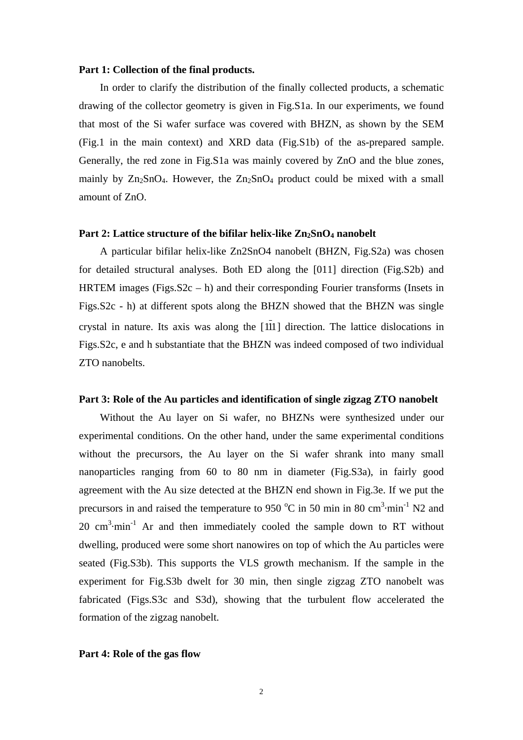#### **Part 1: Collection of the final products.**

In order to clarify the distribution of the finally collected products, a schematic drawing of the collector geometry is given in Fig.S1a. In our experiments, we found that most of the Si wafer surface was covered with BHZN, as shown by the SEM (Fig.1 in the main context) and XRD data (Fig.S1b) of the as-prepared sample. Generally, the red zone in Fig.S1a was mainly covered by ZnO and the blue zones, mainly by  $Zn_2SnO_4$ . However, the  $Zn_2SnO_4$  product could be mixed with a small amount of ZnO.

# Part 2: Lattice structure of the bifilar helix-like Zn<sub>2</sub>SnO<sub>4</sub> nanobelt

A particular bifilar helix-like Zn2SnO4 nanobelt (BHZN, Fig.S2a) was chosen for detailed structural analyses. Both ED along the [011] direction (Fig.S2b) and HRTEM images (Figs. $S2c - h$ ) and their corresponding Fourier transforms (Insets in Figs.S2c - h) at different spots along the BHZN showed that the BHZN was single crystal in nature. Its axis was along the [111] direction. The lattice dislocations in Figs.S2c, e and h substantiate that the BHZN was indeed composed of two individual ZTO nanobelts.

### **Part 3: Role of the Au particles and identification of single zigzag ZTO nanobelt**

Without the Au layer on Si wafer, no BHZNs were synthesized under our experimental conditions. On the other hand, under the same experimental conditions without the precursors, the Au layer on the Si wafer shrank into many small nanoparticles ranging from 60 to 80 nm in diameter (Fig.S3a), in fairly good agreement with the Au size detected at the BHZN end shown in Fig.3e. If we put the precursors in and raised the temperature to 950  $^{\circ}$ C in 50 min in 80 cm<sup>3</sup> $\cdot$ min<sup>-1</sup> N2 and 20  $\text{cm}^3 \cdot \text{min}^{-1}$  Ar and then immediately cooled the sample down to RT without dwelling, produced were some short nanowires on top of which the Au particles were seated (Fig.S3b). This supports the VLS growth mechanism. If the sample in the experiment for Fig.S3b dwelt for 30 min, then single zigzag ZTO nanobelt was fabricated (Figs.S3c and S3d), showing that the turbulent flow accelerated the formation of the zigzag nanobelt.

### **Part 4: Role of the gas flow**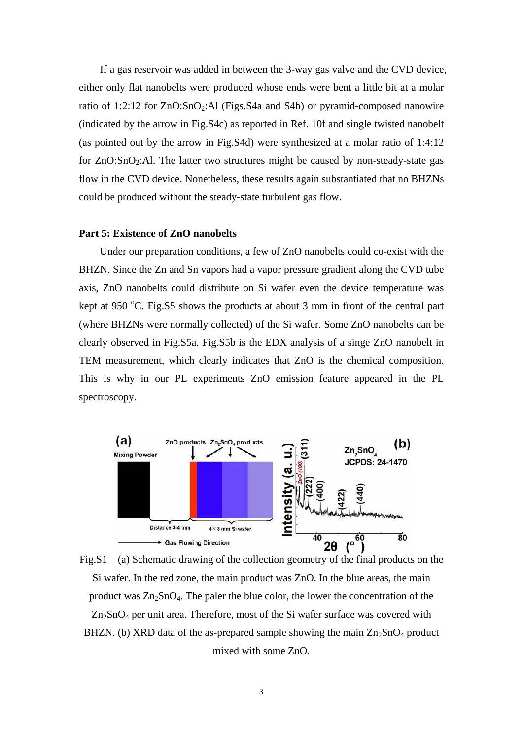If a gas reservoir was added in between the 3-way gas valve and the CVD device, either only flat nanobelts were produced whose ends were bent a little bit at a molar ratio of 1:2:12 for  $ZnO:SnO<sub>2</sub>:Al$  (Figs. S4a and S4b) or pyramid-composed nanowire (indicated by the arrow in Fig.S4c) as reported in Ref. 10f and single twisted nanobelt (as pointed out by the arrow in Fig.S4d) were synthesized at a molar ratio of 1:4:12 for  $ZnO:SnO<sub>2</sub>:AI$ . The latter two structures might be caused by non-steady-state gas flow in the CVD device. Nonetheless, these results again substantiated that no BHZNs could be produced without the steady-state turbulent gas flow.

# **Part 5: Existence of ZnO nanobelts**

Under our preparation conditions, a few of ZnO nanobelts could co-exist with the BHZN. Since the Zn and Sn vapors had a vapor pressure gradient along the CVD tube axis, ZnO nanobelts could distribute on Si wafer even the device temperature was kept at 950 °C. Fig.S5 shows the products at about 3 mm in front of the central part (where BHZNs were normally collected) of the Si wafer. Some ZnO nanobelts can be clearly observed in Fig.S5a. Fig.S5b is the EDX analysis of a singe ZnO nanobelt in TEM measurement, which clearly indicates that ZnO is the chemical composition. This is why in our PL experiments ZnO emission feature appeared in the PL spectroscopy.



Fig.S1 (a) Schematic drawing of the collection geometry of the final products on the Si wafer. In the red zone, the main product was ZnO. In the blue areas, the main product was  $Zn_2SnO_4$ . The paler the blue color, the lower the concentration of the  $Zn<sub>2</sub>SnO<sub>4</sub>$  per unit area. Therefore, most of the Si wafer surface was covered with BHZN. (b) XRD data of the as-prepared sample showing the main  $\text{Zn}_2\text{SnO}_4$  product mixed with some ZnO.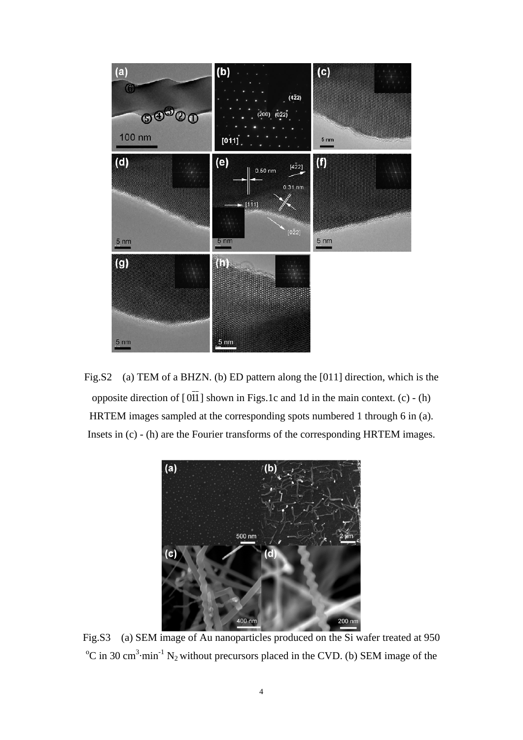

Fig.S2 (a) TEM of a BHZN. (b) ED pattern along the [011] direction, which is the opposite direction of  $[0\overline{1}1]$  shown in Figs.1c and 1d in the main context. (c) - (h) HRTEM images sampled at the corresponding spots numbered 1 through 6 in (a). Insets in (c) - (h) are the Fourier transforms of the corresponding HRTEM images.



Fig.S3 (a) SEM image of Au nanoparticles produced on the Si wafer treated at 950  ${}^{\circ}$ C in 30 cm<sup>3</sup>·min<sup>-1</sup> N<sub>2</sub> without precursors placed in the CVD. (b) SEM image of the